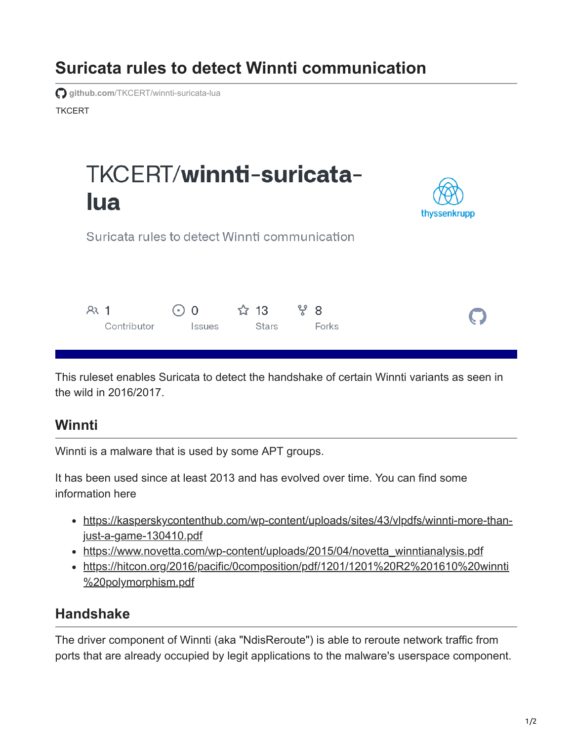## **Suricata rules to detect Winnti communication**

**TKCFRT github.com[/TKCERT/winnti-suricata-lua](https://github.com/TKCERT/winnti-suricata-lua)** 

# TKCERT/winnti-suricata**lua**



Suricata rules to detect Winnti communication



This ruleset enables Suricata to detect the handshake of certain Winnti variants as seen in the wild in 2016/2017.

#### **Winnti**

Winnti is a malware that is used by some APT groups.

It has been used since at least 2013 and has evolved over time. You can find some information here

- [https://kasperskycontenthub.com/wp-content/uploads/sites/43/vlpdfs/winnti-more-than](https://kasperskycontenthub.com/wp-content/uploads/sites/43/vlpdfs/winnti-more-than-just-a-game-130410.pdf)just-a-game-130410.pdf
- [https://www.novetta.com/wp-content/uploads/2015/04/novetta\\_winntianalysis.pdf](https://www.novetta.com/wp-content/uploads/2015/04/novetta_winntianalysis.pdf)
- [https://hitcon.org/2016/pacific/0composition/pdf/1201/1201%20R2%201610%20winnti](https://hitcon.org/2016/pacific/0composition/pdf/1201/1201%20R2%201610%20winnti%20polymorphism.pdf) %20polymorphism.pdf

### **Handshake**

The driver component of Winnti (aka "NdisReroute") is able to reroute network traffic from ports that are already occupied by legit applications to the malware's userspace component.